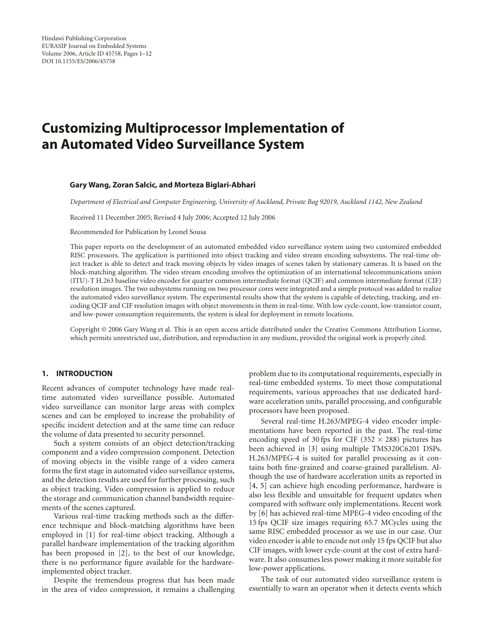# **Customizing Multiprocessor Implementation of an Automated Video Surveillance System**

## **Gary Wang, Zoran Salcic, and Morteza Biglari-Abhari**

*Department of Electrical and Computer Engineering, University of Auckland, Private Bag 92019, Auckland 1142, New Zealand*

Received 11 December 2005; Revised 4 July 2006; Accepted 12 July 2006

Recommended for Publication by Leonel Sousa

This paper reports on the development of an automated embedded video surveillance system using two customized embedded RISC processors. The application is partitioned into object tracking and video stream encoding subsystems. The real-time object tracker is able to detect and track moving objects by video images of scenes taken by stationary cameras. It is based on the block-matching algorithm. The video stream encoding involves the optimization of an international telecommunications union (ITU)-T H.263 baseline video encoder for quarter common intermediate format (QCIF) and common intermediate format (CIF) resolution images. The two subsystems running on two processor cores were integrated and a simple protocol was added to realize the automated video surveillance system. The experimental results show that the system is capable of detecting, tracking, and encoding QCIF and CIF resolution images with object movements in them in real-time. With low cycle-count, low-transistor count, and low-power consumption requirements, the system is ideal for deployment in remote locations.

Copyright © 2006 Gary Wang et al. This is an open access article distributed under the Creative Commons Attribution License, which permits unrestricted use, distribution, and reproduction in any medium, provided the original work is properly cited.

## **1. INTRODUCTION**

Recent advances of computer technology have made realtime automated video surveillance possible. Automated video surveillance can monitor large areas with complex scenes and can be employed to increase the probability of specific incident detection and at the same time can reduce the volume of data presented to security personnel.

Such a system consists of an object detection/tracking component and a video compression component. Detection of moving objects in the visible range of a video camera forms the first stage in automated video surveillance systems, and the detection results are used for further processing, such as object tracking. Video compression is applied to reduce the storage and communication channel bandwidth requirements of the scenes captured.

Various real-time tracking methods such as the difference technique and block-matching algorithms have been employed in [\[1](#page-10-1)] for real-time object tracking. Although a parallel hardware implementation of the tracking algorithm has been proposed in [\[2\]](#page-10-2), to the best of our knowledge, there is no performance figure available for the hardwareimplemented object tracker.

Despite the tremendous progress that has been made in the area of video compression, it remains a challenging problem due to its computational requirements, especially in real-time embedded systems. To meet those computational requirements, various approaches that use dedicated hardware acceleration units, parallel processing, and configurable processors have been proposed.

Several real-time H.263/MPEG-4 video encoder implementations have been reported in the past. The real-time encoding speed of 30 fps for CIF (352  $\times$  288) pictures has been achieved in [\[3](#page-10-3)] using multiple TMS320C6201 DSPs. H.263/MPEG-4 is suited for parallel processing as it contains both fine-grained and coarse-grained parallelism. Although the use of hardware acceleration units as reported in [\[4,](#page-10-4) [5](#page-10-5)] can achieve high encoding performance, hardware is also less flexible and unsuitable for frequent updates when compared with software only implementations. Recent work by [\[6](#page-10-6)] has achieved real-time MPEG-4 video encoding of the 15 fps QCIF size images requiring 65*.*7 MCycles using the same RISC embedded processor as we use in our case. Our video encoder is able to encode not only 15 fps QCIF but also CIF images, with lower cycle-count at the cost of extra hardware. It also consumes less power making it more suitable for low-power applications.

The task of our automated video surveillance system is essentially to warn an operator when it detects events which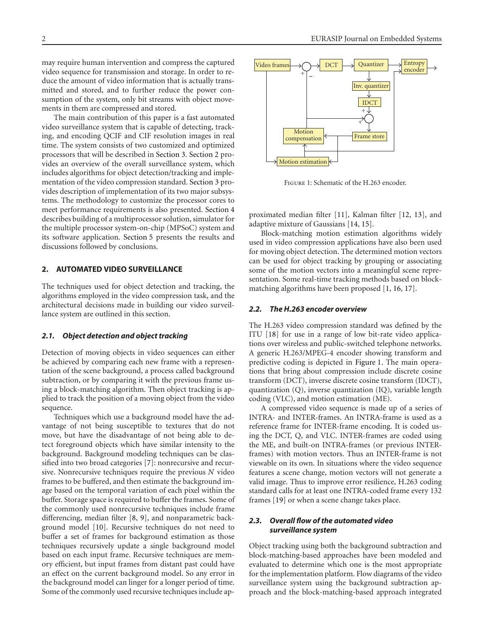may require human intervention and compress the captured video sequence for transmission and storage. In order to reduce the amount of video information that is actually transmitted and stored, and to further reduce the power consumption of the system, only bit streams with object movements in them are compressed and stored.

The main contribution of this paper is a fast automated video surveillance system that is capable of detecting, tracking, and encoding QCIF and CIF resolution images in real time. The system consists of two customized and optimized processors that will be described in [Section 3.](#page-2-0) [Section 2](#page-1-0) provides an overview of the overall surveillance system, which includes algorithms for object detection/tracking and implementation of the video compression standard. [Section 3](#page-2-0) provides description of implementation of its two major subsystems. The methodology to customize the processor cores to meet performance requirements is also presented. [Section 4](#page-6-0) describes building of a multiprocessor solution, simulator for the multiple processor system-on-chip (MPSoC) system and its software application. [Section 5](#page-8-0) presents the results and discussions followed by conclusions.

# <span id="page-1-0"></span>**2. AUTOMATED VIDEO SURVEILLANCE**

The techniques used for object detection and tracking, the algorithms employed in the video compression task, and the architectural decisions made in building our video surveillance system are outlined in this section.

## *2.1. Object detection and object tracking*

Detection of moving objects in video sequences can either be achieved by comparing each new frame with a representation of the scene background, a process called background subtraction, or by comparing it with the previous frame using a block-matching algorithm. Then object tracking is applied to track the position of a moving object from the video sequence.

Techniques which use a background model have the advantage of not being susceptible to textures that do not move, but have the disadvantage of not being able to detect foreground objects which have similar intensity to the background. Background modeling techniques can be classified into two broad categories [\[7\]](#page-10-7): nonrecursive and recursive. Nonrecursive techniques require the previous *N* video frames to be buffered, and then estimate the background image based on the temporal variation of each pixel within the buffer. Storage space is required to buffer the frames. Some of the commonly used nonrecursive techniques include frame differencing, median filter [\[8](#page-10-8), [9\]](#page-10-9), and nonparametric background model [\[10\]](#page-10-10). Recursive techniques do not need to buffer a set of frames for background estimation as those techniques recursively update a single background model based on each input frame. Recursive techniques are memory efficient, but input frames from distant past could have an effect on the current background model. So any error in the background model can linger for a longer period of time. Some of the commonly used recursive techniques include ap-



Figure 1: Schematic of the H.263 encoder.

<span id="page-1-1"></span>proximated median filter [\[11](#page-10-11)], Kalman filter [\[12,](#page-10-12) [13](#page-10-13)], and adaptive mixture of Gaussians [\[14,](#page-10-14) [15\]](#page-10-15).

Block-matching motion estimation algorithms widely used in video compression applications have also been used for moving object detection. The determined motion vectors can be used for object tracking by grouping or associating some of the motion vectors into a meaningful scene representation. Some real-time tracking methods based on blockmatching algorithms have been proposed [\[1,](#page-10-1) [16](#page-10-16), [17](#page-10-17)].

## *2.2. The H.263 encoder overview*

The H.263 video compression standard was defined by the ITU [\[18\]](#page-10-18) for use in a range of low bit-rate video applications over wireless and public-switched telephone networks. A generic H.263/MPEG-4 encoder showing transform and predictive coding is depicted in [Figure 1.](#page-1-1) The main operations that bring about compression include discrete cosine transform (DCT), inverse discrete cosine transform (IDCT), quantization (Q), inverse quantization (IQ), variable length coding (VLC), and motion estimation (ME).

A compressed video sequence is made up of a series of INTRA- and INTER-frames. An INTRA-frame is used as a reference frame for INTER-frame encoding. It is coded using the DCT, Q, and VLC. INTER-frames are coded using the ME, and built-on INTRA-frames (or previous INTERframes) with motion vectors. Thus an INTER-frame is not viewable on its own. In situations where the video sequence features a scene change, motion vectors will not generate a valid image. Thus to improve error resilience, H.263 coding standard calls for at least one INTRA-coded frame every 132 frames [\[19\]](#page-10-19) or when a scene change takes place.

# *2.3. Overall flow of the automated video surveillance system*

Object tracking using both the background subtraction and block-matching-based approaches have been modeled and evaluated to determine which one is the most appropriate for the implementation platform. Flow diagrams of the video surveillance system using the background subtraction approach and the block-matching-based approach integrated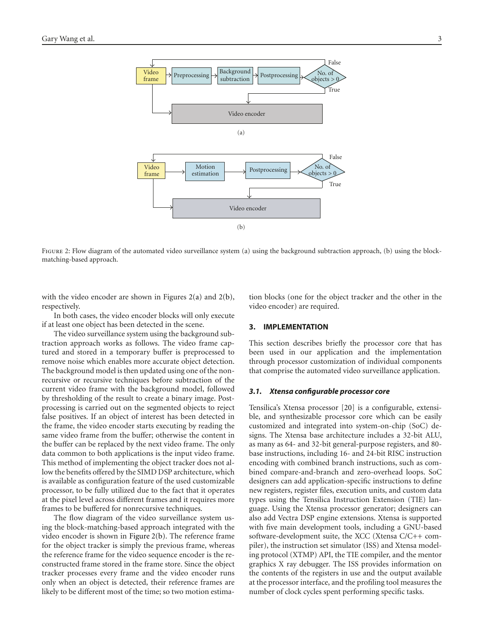<span id="page-2-1"></span>

<span id="page-2-2"></span>FIGURE 2: Flow diagram of the automated video surveillance system (a) using the background subtraction approach, (b) using the blockmatching-based approach.

with the video encoder are shown in Figures  $2(a)$  and  $2(b)$ , respectively.

In both cases, the video encoder blocks will only execute if at least one object has been detected in the scene.

The video surveillance system using the background subtraction approach works as follows. The video frame captured and stored in a temporary buffer is preprocessed to remove noise which enables more accurate object detection. The background model is then updated using one of the nonrecursive or recursive techniques before subtraction of the current video frame with the background model, followed by thresholding of the result to create a binary image. Postprocessing is carried out on the segmented objects to reject false positives. If an object of interest has been detected in the frame, the video encoder starts executing by reading the same video frame from the buffer; otherwise the content in the buffer can be replaced by the next video frame. The only data common to both applications is the input video frame. This method of implementing the object tracker does not allow the benefits offered by the SIMD DSP architecture, which is available as configuration feature of the used customizable processor, to be fully utilized due to the fact that it operates at the pixel level across different frames and it requires more frames to be buffered for nonrecursive techniques.

The flow diagram of the video surveillance system using the block-matching-based approach integrated with the video encoder is shown in [Figure 2\(b\).](#page-2-2) The reference frame for the object tracker is simply the previous frame, whereas the reference frame for the video sequence encoder is the reconstructed frame stored in the frame store. Since the object tracker processes every frame and the video encoder runs only when an object is detected, their reference frames are likely to be different most of the time; so two motion estimation blocks (one for the object tracker and the other in the video encoder) are required.

## <span id="page-2-0"></span>**3. IMPLEMENTATION**

This section describes briefly the processor core that has been used in our application and the implementation through processor customization of individual components that comprise the automated video surveillance application.

#### *3.1. Xtensa configurable processor core*

Tensilica's Xtensa processor [\[20](#page-11-0)] is a configurable, extensible, and synthesizable processor core which can be easily customized and integrated into system-on-chip (SoC) designs. The Xtensa base architecture includes a 32-bit ALU, as many as 64- and 32-bit general-purpose registers, and 80 base instructions, including 16- and 24-bit RISC instruction encoding with combined branch instructions, such as combined compare-and-branch and zero-overhead loops. SoC designers can add application-specific instructions to define new registers, register files, execution units, and custom data types using the Tensilica Instruction Extension (TIE) language. Using the Xtensa processor generator; designers can also add Vectra DSP engine extensions. Xtensa is supported with five main development tools, including a GNU-based software-development suite, the XCC (Xtensa C/C++ compiler), the instruction set simulator (ISS) and Xtensa modeling protocol (XTMP) API, the TIE compiler, and the mentor graphics X ray debugger. The ISS provides information on the contents of the registers in use and the output available at the processor interface, and the profiling tool measures the number of clock cycles spent performing specific tasks.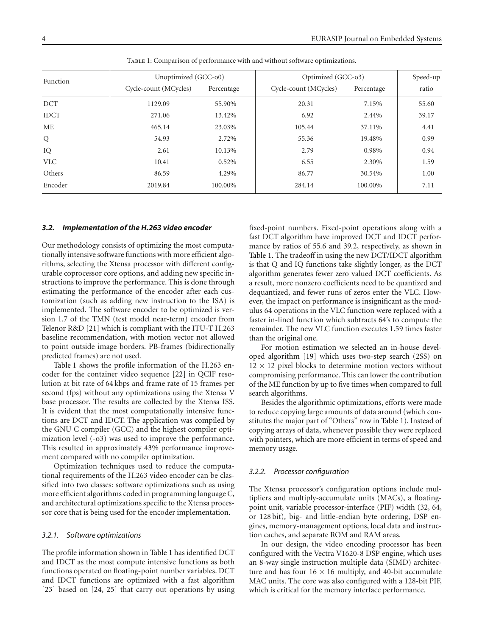| Function    | Unoptimized (GCC-00)  |            | Optimized (GCC-03)    | Speed-up   |       |
|-------------|-----------------------|------------|-----------------------|------------|-------|
|             | Cycle-count (MCycles) | Percentage | Cycle-count (MCycles) | Percentage | ratio |
| <b>DCT</b>  | 1129.09               | 55.90%     | 20.31                 | 7.15%      | 55.60 |
| <b>IDCT</b> | 271.06                | 13.42%     | 6.92                  | 2.44%      | 39.17 |
| ME          | 465.14                | 23.03%     | 105.44                | 37.11%     | 4.41  |
| Q           | 54.93                 | 2.72%      | 55.36                 | 19.48%     | 0.99  |
| IQ          | 2.61                  | 10.13%     | 2.79                  | 0.98%      | 0.94  |
| <b>VLC</b>  | 10.41                 | 0.52%      | 6.55                  | 2.30%      | 1.59  |
| Others      | 86.59                 | 4.29%      | 86.77                 | 30.54%     | 1.00  |
| Encoder     | 2019.84               | 100.00%    | 284.14                | 100.00%    | 7.11  |

<span id="page-3-0"></span>Table 1: Comparison of performance with and without software optimizations.

## *3.2. Implementation of the H.263 video encoder*

Our methodology consists of optimizing the most computationally intensive software functions with more efficient algorithms, selecting the Xtensa processor with different configurable coprocessor core options, and adding new specific instructions to improve the performance. This is done through estimating the performance of the encoder after each customization (such as adding new instruction to the ISA) is implemented. The software encoder to be optimized is version 1*.*7 of the TMN (test model near-term) encoder from Telenor R&D [\[21](#page-11-1)] which is compliant with the ITU-T H.263 baseline recommendation, with motion vector not allowed to point outside image borders. PB-frames (bidirectionally predicted frames) are not used.

[Table 1](#page-3-0) shows the profile information of the H.263 encoder for the container video sequence [\[22\]](#page-11-2) in QCIF resolution at bit rate of 64 kbps and frame rate of 15 frames per second (fps) without any optimizations using the Xtensa V base processor. The results are collected by the Xtensa ISS. It is evident that the most computationally intensive functions are DCT and IDCT. The application was compiled by the GNU C compiler (GCC) and the highest compiler optimization level (-o3) was used to improve the performance. This resulted in approximately 43% performance improvement compared with no compiler optimization.

Optimization techniques used to reduce the computational requirements of the H.263 video encoder can be classified into two classes: software optimizations such as using more efficient algorithms coded in programming language C, and architectural optimizations specific to the Xtensa processor core that is being used for the encoder implementation.

## *3.2.1. Software optimizations*

The profile information shown in [Table 1](#page-3-0) has identified DCT and IDCT as the most compute intensive functions as both functions operated on floating-point number variables. DCT and IDCT functions are optimized with a fast algorithm [\[23](#page-11-3)] based on [\[24,](#page-11-4) [25](#page-11-5)] that carry out operations by using fixed-point numbers. Fixed-point operations along with a fast DCT algorithm have improved DCT and IDCT performance by ratios of 55*.*6 and 39*.*2, respectively, as shown in [Table 1.](#page-3-0) The tradeoff in using the new DCT/IDCT algorithm is that Q and IQ functions take slightly longer, as the DCT algorithm generates fewer zero valued DCT coefficients. As a result, more nonzero coefficients need to be quantized and dequantized, and fewer runs of zeros enter the VLC. However, the impact on performance is insignificant as the modulus 64 operations in the VLC function were replaced with a faster in-lined function which subtracts 64's to compute the remainder. The new VLC function executes 1.59 times faster than the original one.

For motion estimation we selected an in-house developed algorithm [\[19\]](#page-10-19) which uses two-step search (2SS) on  $12 \times 12$  pixel blocks to determine motion vectors without compromising performance. This can lower the contribution of the ME function by up to five times when compared to full search algorithms.

Besides the algorithmic optimizations, efforts were made to reduce copying large amounts of data around (which constitutes the major part of "Others" row in [Table 1\)](#page-3-0). Instead of copying arrays of data, whenever possible they were replaced with pointers, which are more efficient in terms of speed and memory usage.

# *3.2.2. Processor configuration*

The Xtensa processor's configuration options include multipliers and multiply-accumulate units (MACs), a floatingpoint unit, variable processor-interface (PIF) width (32, 64, or 128 bit), big- and little-endian byte ordering, DSP engines, memory-management options, local data and instruction caches, and separate ROM and RAM areas.

In our design, the video encoding processor has been configured with the Vectra V1620-8 DSP engine, which uses an 8-way single instruction multiple data (SIMD) architecture and has four  $16 \times 16$  multiply, and 40-bit accumulate MAC units. The core was also configured with a 128-bit PIF, which is critical for the memory interface performance.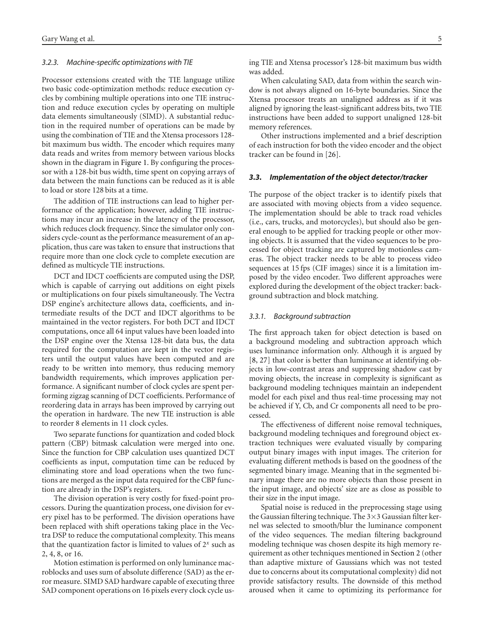# *3.2.3. Machine-specific optimizations with TIE*

Processor extensions created with the TIE language utilize two basic code-optimization methods: reduce execution cycles by combining multiple operations into one TIE instruction and reduce execution cycles by operating on multiple data elements simultaneously (SIMD). A substantial reduction in the required number of operations can be made by using the combination of TIE and the Xtensa processors 128 bit maximum bus width. The encoder which requires many data reads and writes from memory between various blocks shown in the diagram in [Figure 1.](#page-1-1) By configuring the processor with a 128-bit bus width, time spent on copying arrays of data between the main functions can be reduced as it is able to load or store 128 bits at a time.

The addition of TIE instructions can lead to higher performance of the application; however, adding TIE instructions may incur an increase in the latency of the processor, which reduces clock frequency. Since the simulator only considers cycle-count as the performance measurement of an application, thus care was taken to ensure that instructions that require more than one clock cycle to complete execution are defined as multicycle TIE instructions.

DCT and IDCT coefficients are computed using the DSP, which is capable of carrying out additions on eight pixels or multiplications on four pixels simultaneously. The Vectra DSP engine's architecture allows data, coefficients, and intermediate results of the DCT and IDCT algorithms to be maintained in the vector registers. For both DCT and IDCT computations, once all 64 input values have been loaded into the DSP engine over the Xtensa 128-bit data bus, the data required for the computation are kept in the vector registers until the output values have been computed and are ready to be written into memory, thus reducing memory bandwidth requirements, which improves application performance. A significant number of clock cycles are spent performing zigzag scanning of DCT coefficients. Performance of reordering data in arrays has been improved by carrying out the operation in hardware. The new TIE instruction is able to reorder 8 elements in 11 clock cycles.

Two separate functions for quantization and coded block pattern (CBP) bitmask calculation were merged into one. Since the function for CBP calculation uses quantized DCT coefficients as input, computation time can be reduced by eliminating store and load operations when the two functions are merged as the input data required for the CBP function are already in the DSP's registers.

The division operation is very costly for fixed-point processors. During the quantization process, one division for every pixel has to be performed. The division operations have been replaced with shift operations taking place in the Vectra DSP to reduce the computational complexity. This means that the quantization factor is limited to values of 2*<sup>x</sup>* such as 2, 4, 8, or 16.

Motion estimation is performed on only luminance macroblocks and uses sum of absolute difference (SAD) as the error measure. SIMD SAD hardware capable of executing three SAD component operations on 16 pixels every clock cycle using TIE and Xtensa processor's 128-bit maximum bus width was added.

When calculating SAD, data from within the search window is not always aligned on 16-byte boundaries. Since the Xtensa processor treats an unaligned address as if it was aligned by ignoring the least-significant address bits, two TIE instructions have been added to support unaligned 128-bit memory references.

Other instructions implemented and a brief description of each instruction for both the video encoder and the object tracker can be found in [\[26](#page-11-6)].

#### *3.3. Implementation of the object detector/tracker*

The purpose of the object tracker is to identify pixels that are associated with moving objects from a video sequence. The implementation should be able to track road vehicles (i.e., cars, trucks, and motorcycles), but should also be general enough to be applied for tracking people or other moving objects. It is assumed that the video sequences to be processed for object tracking are captured by motionless cameras. The object tracker needs to be able to process video sequences at 15 fps (CIF images) since it is a limitation imposed by the video encoder. Two different approaches were explored during the development of the object tracker: background subtraction and block matching.

## *3.3.1. Background subtraction*

The first approach taken for object detection is based on a background modeling and subtraction approach which uses luminance information only. Although it is argued by [\[8,](#page-10-8) [27](#page-11-7)] that color is better than luminance at identifying objects in low-contrast areas and suppressing shadow cast by moving objects, the increase in complexity is significant as background modeling techniques maintain an independent model for each pixel and thus real-time processing may not be achieved if Y, Cb, and Cr components all need to be processed.

The effectiveness of different noise removal techniques, background modeling techniques and foreground object extraction techniques were evaluated visually by comparing output binary images with input images. The criterion for evaluating different methods is based on the goodness of the segmented binary image. Meaning that in the segmented binary image there are no more objects than those present in the input image, and objects' size are as close as possible to their size in the input image.

Spatial noise is reduced in the preprocessing stage using the Gaussian filtering technique. The  $3\times 3$  Gaussian filter kernel was selected to smooth/blur the luminance component of the video sequences. The median filtering background modeling technique was chosen despite its high memory requirement as other techniques mentioned in [Section 2](#page-1-0) (other than adaptive mixture of Gaussians which was not tested due to concerns about its computational complexity) did not provide satisfactory results. The downside of this method aroused when it came to optimizing its performance for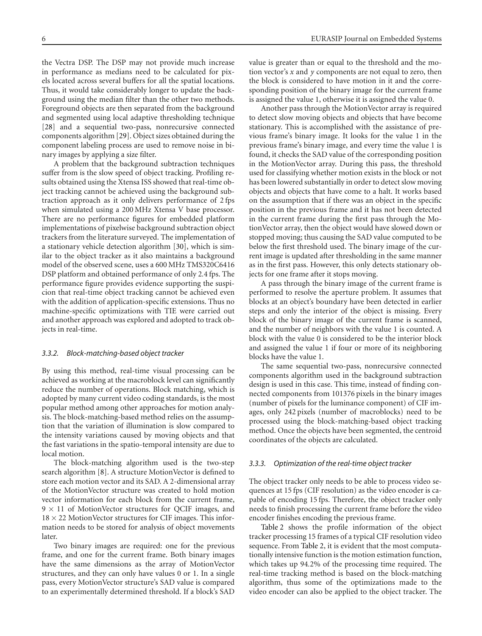the Vectra DSP. The DSP may not provide much increase in performance as medians need to be calculated for pixels located across several buffers for all the spatial locations. Thus, it would take considerably longer to update the background using the median filter than the other two methods. Foreground objects are then separated from the background and segmented using local adaptive thresholding technique [\[28](#page-11-8)] and a sequential two-pass, nonrecursive connected components algorithm [\[29\]](#page-11-9). Object sizes obtained during the component labeling process are used to remove noise in binary images by applying a size filter.

A problem that the background subtraction techniques suffer from is the slow speed of object tracking. Profiling results obtained using the Xtensa ISS showed that real-time object tracking cannot be achieved using the background subtraction approach as it only delivers performance of 2 fps when simulated using a 200 MHz Xtensa V base processor. There are no performance figures for embedded platform implementations of pixelwise background subtraction object trackers from the literature surveyed. The implementation of a stationary vehicle detection algorithm [\[30\]](#page-11-10), which is similar to the object tracker as it also maintains a background model of the observed scene, uses a 600 MHz TMS320C6416 DSP platform and obtained performance of only 2*.*4 fps. The performance figure provides evidence supporting the suspicion that real-time object tracking cannot be achieved even with the addition of application-specific extensions. Thus no machine-specific optimizations with TIE were carried out and another approach was explored and adopted to track objects in real-time.

## *3.3.2. Block-matching-based object tracker*

By using this method, real-time visual processing can be achieved as working at the macroblock level can significantly reduce the number of operations. Block matching, which is adopted by many current video coding standards, is the most popular method among other approaches for motion analysis. The block-matching-based method relies on the assumption that the variation of illumination is slow compared to the intensity variations caused by moving objects and that the fast variations in the spatio-temporal intensity are due to local motion.

The block-matching algorithm used is the two-step search algorithm [\[8\]](#page-10-8). A structure MotionVector is defined to store each motion vector and its SAD. A 2-dimensional array of the MotionVector structure was created to hold motion vector information for each block from the current frame,  $9 \times 11$  of MotionVector structures for QCIF images, and  $18 \times 22$  MotionVector structures for CIF images. This information needs to be stored for analysis of object movements later.

Two binary images are required: one for the previous frame, and one for the current frame. Both binary images have the same dimensions as the array of MotionVector structures, and they can only have values 0 or 1. In a single pass, every MotionVector structure's SAD value is compared to an experimentally determined threshold. If a block's SAD

value is greater than or equal to the threshold and the motion vector's *x* and *y* components are not equal to zero, then the block is considered to have motion in it and the corresponding position of the binary image for the current frame is assigned the value 1, otherwise it is assigned the value 0.

Another pass through the MotionVector array is required to detect slow moving objects and objects that have become stationary. This is accomplished with the assistance of previous frame's binary image. It looks for the value 1 in the previous frame's binary image, and every time the value 1 is found, it checks the SAD value of the corresponding position in the MotionVector array. During this pass, the threshold used for classifying whether motion exists in the block or not has been lowered substantially in order to detect slow moving objects and objects that have come to a halt. It works based on the assumption that if there was an object in the specific position in the previous frame and it has not been detected in the current frame during the first pass through the MotionVector array, then the object would have slowed down or stopped moving; thus causing the SAD value computed to be below the first threshold used. The binary image of the current image is updated after thresholding in the same manner as in the first pass. However, this only detects stationary objects for one frame after it stops moving.

A pass through the binary image of the current frame is performed to resolve the aperture problem. It assumes that blocks at an object's boundary have been detected in earlier steps and only the interior of the object is missing. Every block of the binary image of the current frame is scanned, and the number of neighbors with the value 1 is counted. A block with the value 0 is considered to be the interior block and assigned the value 1 if four or more of its neighboring blocks have the value 1.

The same sequential two-pass, nonrecursive connected components algorithm used in the background subtraction design is used in this case. This time, instead of finding connected components from 101376 pixels in the binary images (number of pixels for the luminance component) of CIF images, only 242 pixels (number of macroblocks) need to be processed using the block-matching-based object tracking method. Once the objects have been segmented, the centroid coordinates of the objects are calculated.

## *3.3.3. Optimization of the real-time object tracker*

The object tracker only needs to be able to process video sequences at 15 fps (CIF resolution) as the video encoder is capable of encoding 15 fps. Therefore, the object tracker only needs to finish processing the current frame before the video encoder finishes encoding the previous frame.

[Table 2](#page-6-1) shows the profile information of the object tracker processing 15 frames of a typical CIF resolution video sequence. From [Table 2,](#page-6-1) it is evident that the most computationally intensive function is the motion estimation function, which takes up 94*.*2% of the processing time required. The real-time tracking method is based on the block-matching algorithm, thus some of the optimizations made to the video encoder can also be applied to the object tracker. The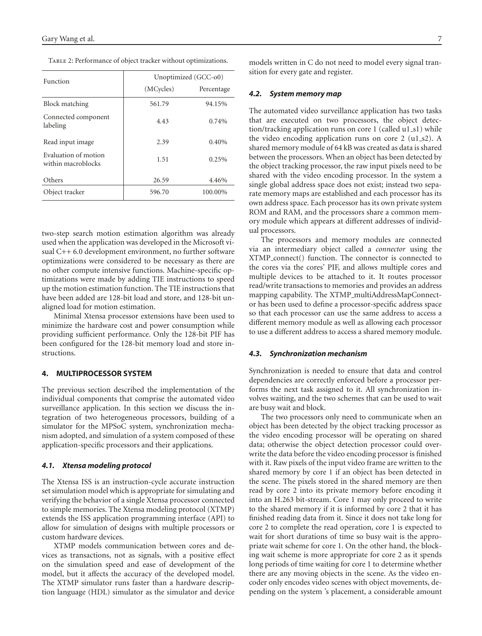<span id="page-6-1"></span>

| Function                                   | Unoptimized (GCC-00) |            |  |  |
|--------------------------------------------|----------------------|------------|--|--|
|                                            | (MCycles)            | Percentage |  |  |
| Block matching                             | 561.79               | 94.15%     |  |  |
| Connected component<br>labeling            | 4.43                 | 0.74%      |  |  |
| Read input image                           | 2.39                 | 0.40%      |  |  |
| Evaluation of motion<br>within macroblocks | 1.51                 | $0.25\%$   |  |  |
| Others                                     | 26.59                | 4.46%      |  |  |
| Object tracker                             | 596.70               | 100.00%    |  |  |

Table 2: Performance of object tracker without optimizations.

two-step search motion estimation algorithm was already used when the application was developed in the Microsoft visual C++ 6*.*0 development environment, no further software optimizations were considered to be necessary as there are no other compute intensive functions. Machine-specific optimizations were made by adding TIE instructions to speed up the motion estimation function. The TIE instructions that have been added are 128-bit load and store, and 128-bit unaligned load for motion estimation.

Minimal Xtensa processor extensions have been used to minimize the hardware cost and power consumption while providing sufficient performance. Only the 128-bit PIF has been configured for the 128-bit memory load and store instructions.

## <span id="page-6-0"></span>**4. MULTIPROCESSOR SYSTEM**

The previous section described the implementation of the individual components that comprise the automated video surveillance application. In this section we discuss the integration of two heterogeneous processors, building of a simulator for the MPSoC system, synchronization mechanism adopted, and simulation of a system composed of these application-specific processors and their applications.

#### *4.1. Xtensa modeling protocol*

The Xtensa ISS is an instruction-cycle accurate instruction set simulation model which is appropriate for simulating and verifying the behavior of a single Xtensa processor connected to simple memories. The Xtensa modeling protocol (XTMP) extends the ISS application programming interface (API) to allow for simulation of designs with multiple processors or custom hardware devices.

XTMP models communication between cores and devices as transactions, not as signals, with a positive effect on the simulation speed and ease of development of the model, but it affects the accuracy of the developed model. The XTMP simulator runs faster than a hardware description language (HDL) simulator as the simulator and device models written in C do not need to model every signal transition for every gate and register.

## *4.2. System memory map*

The automated video surveillance application has two tasks that are executed on two processors, the object detection/tracking application runs on core 1 (called u1 s1) while the video encoding application runs on core 2 (u1 s2). A shared memory module of 64 kB was created as data is shared between the processors. When an object has been detected by the object tracking processor, the raw input pixels need to be shared with the video encoding processor. In the system a single global address space does not exist; instead two separate memory maps are established and each processor has its own address space. Each processor has its own private system ROM and RAM, and the processors share a common memory module which appears at different addresses of individual processors.

The processors and memory modules are connected via an intermediary object called a *connector* using the XTMP connect() function. The connector is connected to the cores via the cores' PIF, and allows multiple cores and multiple devices to be attached to it. It routes processor read/write transactions to memories and provides an address mapping capability. The XTMP multiAddressMapConnector has been used to define a processor-specific address space so that each processor can use the same address to access a different memory module as well as allowing each processor to use a different address to access a shared memory module.

# *4.3. Synchronization mechanism*

Synchronization is needed to ensure that data and control dependencies are correctly enforced before a processor performs the next task assigned to it. All synchronization involves waiting, and the two schemes that can be used to wait are busy wait and block.

The two processors only need to communicate when an object has been detected by the object tracking processor as the video encoding processor will be operating on shared data; otherwise the object detection processor could overwrite the data before the video encoding processor is finished with it. Raw pixels of the input video frame are written to the shared memory by core 1 if an object has been detected in the scene. The pixels stored in the shared memory are then read by core 2 into its private memory before encoding it into an H.263 bit-stream. Core 1 may only proceed to write to the shared memory if it is informed by core 2 that it has finished reading data from it. Since it does not take long for core 2 to complete the read operation, core 1 is expected to wait for short durations of time so busy wait is the appropriate wait scheme for core 1. On the other hand, the blocking wait scheme is more appropriate for core 2 as it spends long periods of time waiting for core 1 to determine whether there are any moving objects in the scene. As the video encoder only encodes video scenes with object movements, depending on the system 's placement, a considerable amount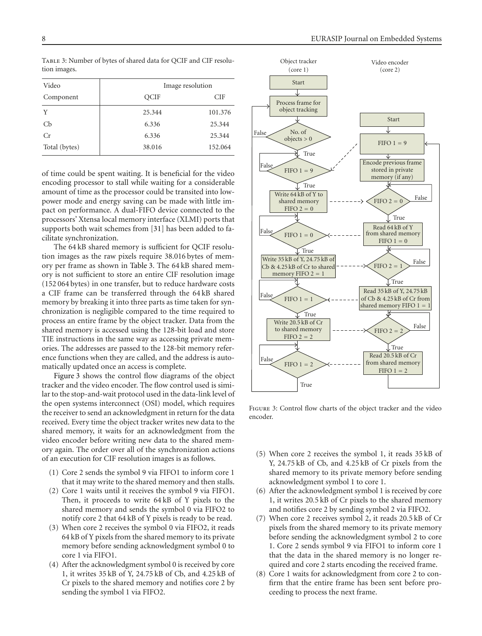Video Image resolution Component QCIF CIF Y 25.344 101.376 Cb 6.336 25.344 Cr 6.336 25.344 Total (bytes) 38.016 152.064

<span id="page-7-0"></span>Table 3: Number of bytes of shared data for QCIF and CIF resolution images.

of time could be spent waiting. It is beneficial for the video encoding processor to stall while waiting for a considerable amount of time as the processor could be transited into lowpower mode and energy saving can be made with little impact on performance. A dual-FIFO device connected to the processors' Xtensa local memory interface (XLMI) ports that supports both wait schemes from [\[31\]](#page-11-11) has been added to facilitate synchronization.

The 64 kB shared memory is sufficient for QCIF resolution images as the raw pixels require 38.016 bytes of memory per frame as shown in [Table 3.](#page-7-0) The 64 kB shared memory is not sufficient to store an entire CIF resolution image (152 064 bytes) in one transfer, but to reduce hardware costs a CIF frame can be transferred through the 64 kB shared memory by breaking it into three parts as time taken for synchronization is negligible compared to the time required to process an entire frame by the object tracker. Data from the shared memory is accessed using the 128-bit load and store TIE instructions in the same way as accessing private memories. The addresses are passed to the 128-bit memory reference functions when they are called, and the address is automatically updated once an access is complete.

[Figure 3](#page-7-1) shows the control flow diagrams of the object tracker and the video encoder. The flow control used is similar to the stop-and-wait protocol used in the data-link level of the open systems interconnect (OSI) model, which requires the receiver to send an acknowledgment in return for the data received. Every time the object tracker writes new data to the shared memory, it waits for an acknowledgment from the video encoder before writing new data to the shared memory again. The order over all of the synchronization actions of an execution for CIF resolution images is as follows.

- (1) Core 2 sends the symbol 9 via FIFO1 to inform core 1 that it may write to the shared memory and then stalls.
- (2) Core 1 waits until it receives the symbol 9 via FIFO1. Then, it proceeds to write 64 kB of Y pixels to the shared memory and sends the symbol 0 via FIFO2 to notify core 2 that 64 kB of Y pixels is ready to be read.
- (3) When core 2 receives the symbol 0 via FIFO2, it reads 64 kB of Y pixels from the shared memory to its private memory before sending acknowledgment symbol 0 to core 1 via FIFO1.
- (4) After the acknowledgment symbol 0 is received by core 1, it writes 35 kB of Y, 24*.*75 kB of Cb, and 4*.*25 kB of Cr pixels to the shared memory and notifies core 2 by sending the symbol 1 via FIFO2.



<span id="page-7-1"></span>Figure 3: Control flow charts of the object tracker and the video encoder.

- (5) When core 2 receives the symbol 1, it reads 35 kB of Y, 24*.*75 kB of Cb, and 4*.*25 kB of Cr pixels from the shared memory to its private memory before sending acknowledgment symbol 1 to core 1.
- (6) After the acknowledgment symbol 1 is received by core 1, it writes 20*.*5 kB of Cr pixels to the shared memory and notifies core 2 by sending symbol 2 via FIFO2.
- (7) When core 2 receives symbol 2, it reads 20*.*5 kB of Cr pixels from the shared memory to its private memory before sending the acknowledgment symbol 2 to core 1. Core 2 sends symbol 9 via FIFO1 to inform core 1 that the data in the shared memory is no longer required and core 2 starts encoding the received frame.
- (8) Core 1 waits for acknowledgment from core 2 to confirm that the entire frame has been sent before proceeding to process the next frame.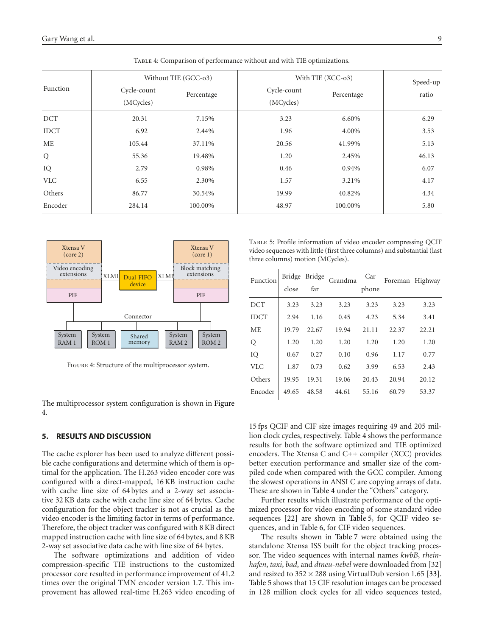|             |                          | Without TIE (GCC-03) | With TIE (XCC-03)        | Speed-up   |       |
|-------------|--------------------------|----------------------|--------------------------|------------|-------|
| Function    | Cycle-count<br>(MCycles) | Percentage           | Cycle-count<br>(MCycles) | Percentage | ratio |
| <b>DCT</b>  | 20.31                    | 7.15%                | 3.23                     | $6.60\%$   | 6.29  |
| <b>IDCT</b> | 6.92                     | 2.44%                | 1.96                     | 4.00%      | 3.53  |
| ME          | 105.44                   | 37.11%               | 20.56                    | 41.99%     | 5.13  |
| Q           | 55.36                    | 19.48%               | 1.20                     | 2.45%      | 46.13 |
| IQ          | 2.79                     | 0.98%                | 0.46                     | 0.94%      | 6.07  |
| <b>VLC</b>  | 6.55                     | 2.30%                | 1.57                     | 3.21%      | 4.17  |
| Others      | 86.77                    | 30.54%               | 19.99                    | 40.82%     | 4.34  |
| Encoder     | 284.14                   | 100.00%              | 48.97                    | 100.00%    | 5.80  |

<span id="page-8-2"></span>



<span id="page-8-1"></span>Figure 4: Structure of the multiprocessor system.

The multiprocessor system configuration is shown in [Figure](#page-8-1) [4.](#page-8-1)

## <span id="page-8-0"></span>**5. RESULTS AND DISCUSSION**

The cache explorer has been used to analyze different possible cache configurations and determine which of them is optimal for the application. The H.263 video encoder core was configured with a direct-mapped, 16 KB instruction cache with cache line size of 64 bytes and a 2-way set associative 32 KB data cache with cache line size of 64 bytes. Cache configuration for the object tracker is not as crucial as the video encoder is the limiting factor in terms of performance. Therefore, the object tracker was configured with 8 KB direct mapped instruction cache with line size of 64 bytes, and 8 KB 2-way set associative data cache with line size of 64 bytes.

The software optimizations and addition of video compression-specific TIE instructions to the customized processor core resulted in performance improvement of 41*.*2 times over the original TMN encoder version 1*.*7. This improvement has allowed real-time H.263 video encoding of <span id="page-8-3"></span>Table 5: Profile information of video encoder compressing QCIF video sequences with little (first three columns) and substantial (last three columns) motion (MCycles).

| Function    | <b>Bridge</b><br>close | <b>Bridge</b><br>far | Grandma | Car<br>phone |       | Foreman Highway |
|-------------|------------------------|----------------------|---------|--------------|-------|-----------------|
| DCT         | 3.23                   | 3.23                 | 3.23    | 3.23         | 3.23  | 3.23            |
| <b>IDCT</b> | 2.94                   | 1.16                 | 0.45    | 4.23         | 5.34  | 3.41            |
| <b>ME</b>   | 19.79                  | 22.67                | 19.94   | 21.11        | 22.37 | 22.21           |
| Q           | 1.20                   | 1.20                 | 1.20    | 1.20         | 1.20  | 1.20            |
| IQ          | 0.67                   | 0.27                 | 0.10    | 0.96         | 1.17  | 0.77            |
| VLC.        | 1.87                   | 0.73                 | 0.62    | 3.99         | 6.53  | 2.43            |
| Others      | 19.95                  | 19.31                | 19.06   | 20.43        | 20.94 | 20.12           |
| Encoder     | 49.65                  | 48.58                | 44.61   | 55.16        | 60.79 | 53.37           |

15 fps QCIF and CIF size images requiring 49 and 205 million clock cycles, respectively. [Table 4](#page-8-2) shows the performance results for both the software optimized and TIE optimized encoders. The Xtensa C and C++ compiler (XCC) provides better execution performance and smaller size of the compiled code when compared with the GCC compiler. Among the slowest operations in ANSI C are copying arrays of data. These are shown in [Table 4](#page-8-2) under the "Others" category.

Further results which illustrate performance of the optimized processor for video encoding of some standard video sequences [\[22](#page-11-2)] are shown in [Table 5,](#page-8-3) for QCIF video sequences, and in [Table 6,](#page-9-0) for CIF video sequences.

The results shown in [Table 7](#page-9-1) were obtained using the standalone Xtensa ISS built for the object tracking processor. The video sequences with internal names *kwbB*, *rheinhafen*, *taxi*, *bad*, and *dtneu-nebel* were downloaded from [\[32\]](#page-11-12) and resized to  $352 \times 288$  using VirtualDub version 1.65 [\[33](#page-11-13)]. [Table 5](#page-8-3) shows that 15 CIF resolution images can be processed in 128 million clock cycles for all video sequences tested,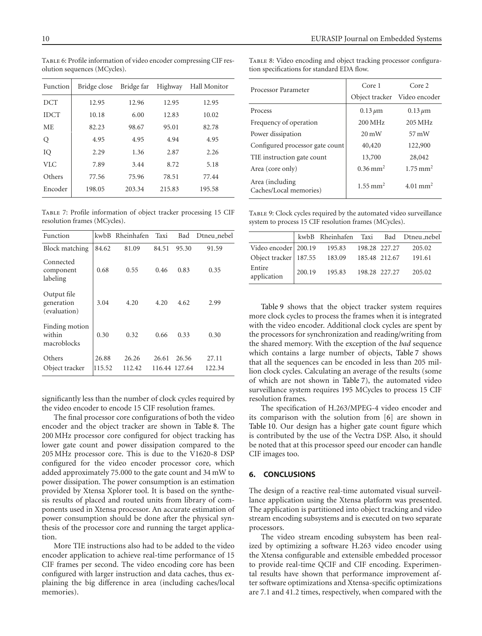<span id="page-9-0"></span>Table 6: Profile information of video encoder compressing CIF resolution sequences (MCycles).

| Function    | Bridge close Bridge far |        | Highway | Hall Monitor |
|-------------|-------------------------|--------|---------|--------------|
| <b>DCT</b>  | 12.95                   | 12.96  | 12.95   | 12.95        |
| <b>IDCT</b> | 10.18                   | 6.00   | 12.83   | 10.02        |
| ME.         | 82.23                   | 98.67  | 95.01   | 82.78        |
| Q           | 4.95                    | 4.95   | 4.94    | 4.95         |
| IQ          | 2.29                    | 1.36   | 2.87    | 2.26         |
| <b>VLC</b>  | 7.89                    | 3.44   | 8.72    | 5.18         |
| Others      | 77.56                   | 75.96  | 78.51   | 77.44        |
| Encoder     | 198.05                  | 203.34 | 215.83  | 195.58       |

<span id="page-9-1"></span>Table 7: Profile information of object tracker processing 15 CIF resolution frames (MCycles).

| Function                                  |        | kwbB Rheinhafen | Taxi  | Bad           | Dtneu_nebel |
|-------------------------------------------|--------|-----------------|-------|---------------|-------------|
| Block matching                            | 84.62  | 81.09           | 84.51 | 95.30         | 91.59       |
| Connected<br>component<br>labeling        | 0.68   | 0.55            | 0.46  | 0.83          | 0.35        |
| Output file<br>generation<br>(evaluation) | 3.04   | 4.20            | 4.20  | 4.62          | 2.99        |
| Finding motion<br>within<br>macroblocks   | 0.30   | 0.32            | 0.66  | 0.33          | 0.30        |
| Others                                    | 26.88  | 26.26           | 26.61 | 26.56         | 27.11       |
| Object tracker                            | 115.52 | 112.42          |       | 116.44 127.64 | 122.34      |

significantly less than the number of clock cycles required by the video encoder to encode 15 CIF resolution frames.

The final processor core configurations of both the video encoder and the object tracker are shown in [Table 8.](#page-9-2) The 200 MHz processor core configured for object tracking has lower gate count and power dissipation compared to the 205 MHz processor core. This is due to the V1620-8 DSP configured for the video encoder processor core, which added approximately 75.000 to the gate count and 34 mW to power dissipation. The power consumption is an estimation provided by Xtensa Xplorer tool. It is based on the synthesis results of placed and routed units from library of components used in Xtensa processor. An accurate estimation of power consumption should be done after the physical synthesis of the processor core and running the target application.

More TIE instructions also had to be added to the video encoder application to achieve real-time performance of 15 CIF frames per second. The video encoding core has been configured with larger instruction and data caches, thus explaining the big difference in area (including caches/local memories).

<span id="page-9-2"></span>TABLE 8: Video encoding and object tracking processor configuration specifications for standard EDA flow.

|                                            | Core 1                 | Core 2               |  |
|--------------------------------------------|------------------------|----------------------|--|
| Processor Parameter                        | Object tracker         | Video encoder        |  |
| Process                                    | $0.13 \mu m$           | $0.13 \,\mu m$       |  |
| Frequency of operation                     | $200 \mathrm{MHz}$     | $205 \,\mathrm{MHz}$ |  |
| Power dissipation                          | $20 \text{ mW}$        | $57 \text{ mW}$      |  |
| Configured processor gate count            | 40,420                 | 122,900              |  |
| TIE instruction gate count                 | 13,700                 | 28,042               |  |
| Area (core only)                           | $0.36 \,\mathrm{mm}^2$ | $1.75 \text{ mm}^2$  |  |
| Area (including)<br>Caches/Local memories) | $1.55 \text{ mm}^2$    | $4.01 \text{ mm}^2$  |  |

<span id="page-9-3"></span>TABLE 9: Clock cycles required by the automated video surveillance system to process 15 CIF resolution frames (MCycles).

|                                             |                             |  | kwbB Rheinhafen Taxi Bad Dtneu_nebel |
|---------------------------------------------|-----------------------------|--|--------------------------------------|
| Video encoder   200.19 195.83 198.28 227.27 |                             |  | 205.02                               |
|                                             |                             |  |                                      |
| Entire<br>application                       | 200.19 195.83 198.28 227.27 |  | 205.02                               |

[Table 9](#page-9-3) shows that the object tracker system requires more clock cycles to process the frames when it is integrated with the video encoder. Additional clock cycles are spent by the processors for synchronization and reading/writing from the shared memory. With the exception of the *bad* sequence which contains a large number of objects, [Table 7](#page-9-1) shows that all the sequences can be encoded in less than 205 million clock cycles. Calculating an average of the results (some of which are not shown in [Table 7\)](#page-9-1), the automated video surveillance system requires 195 MCycles to process 15 CIF resolution frames.

The specification of H.263/MPEG-4 video encoder and its comparison with the solution from [\[6](#page-10-6)] are shown in [Table 10.](#page-10-20) Our design has a higher gate count figure which is contributed by the use of the Vectra DSP. Also, it should be noted that at this processor speed our encoder can handle CIF images too.

# **6. CONCLUSIONS**

The design of a reactive real-time automated visual surveillance application using the Xtensa platform was presented. The application is partitioned into object tracking and video stream encoding subsystems and is executed on two separate processors.

The video stream encoding subsystem has been realized by optimizing a software H.263 video encoder using the Xtensa configurable and extensible embedded processor to provide real-time QCIF and CIF encoding. Experimental results have shown that performance improvement after software optimizations and Xtensa-specific optimizations are 7*.*1 and 41*.*2 times, respectively, when compared with the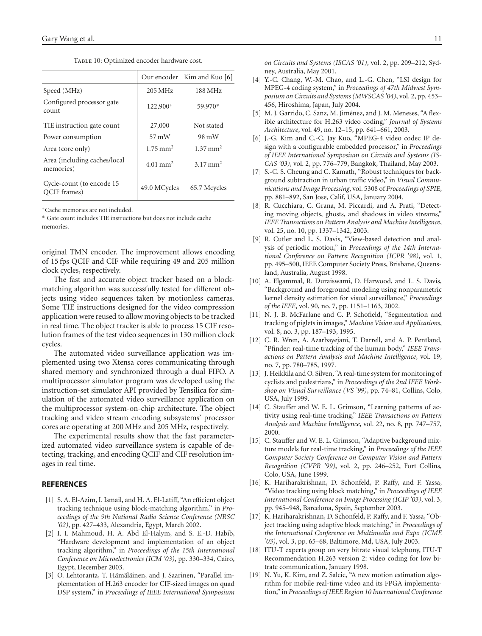<span id="page-10-20"></span>

|                                           |                      | Our encoder Kim and Kuo [6] |
|-------------------------------------------|----------------------|-----------------------------|
| Speed (MHz)                               | $205 \mathrm{MHz}$   | 188 MHz                     |
| Configured processor gate<br>count        | 122,900 <sup>+</sup> | 59,970*                     |
| TIE instruction gate count                | 27,000               | Not stated                  |
| Power consumption                         | $57 \text{ mW}$      | 98 mW                       |
| Area (core only)                          | $1.75 \text{ mm}^2$  | $1.37 \text{ mm}^2$         |
| Area (including caches/local<br>memories) | $4.01 \text{ mm}^2$  | $3.17 \text{ mm}^2$         |
| Cycle-count (to encode 15<br>OCIF frames) | 49.0 MCycles         | 65.7 Mcycles                |

TABLE 10: Optimized encoder hardware cost.

+Cache memories are not included.

<sup>∗</sup> Gate count includes TIE instructions but does not include cache memories.

original TMN encoder. The improvement allows encoding of 15 fps QCIF and CIF while requiring 49 and 205 million clock cycles, respectively.

The fast and accurate object tracker based on a blockmatching algorithm was successfully tested for different objects using video sequences taken by motionless cameras. Some TIE instructions designed for the video compression application were reused to allow moving objects to be tracked in real time. The object tracker is able to process 15 CIF resolution frames of the test video sequences in 130 million clock cycles.

The automated video surveillance application was implemented using two Xtensa cores communicating through shared memory and synchronized through a dual FIFO. A multiprocessor simulator program was developed using the instruction-set simulator API provided by Tensilica for simulation of the automated video surveillance application on the multiprocessor system-on-chip architecture. The object tracking and video stream encoding subsystems' processor cores are operating at 200 MHz and 205 MHz, respectively.

The experimental results show that the fast parameterized automated video surveillance system is capable of detecting, tracking, and encoding QCIF and CIF resolution images in real time.

## <span id="page-10-1"></span><span id="page-10-0"></span>**REFERENCES**

- [1] S. A. El-Azim, I. Ismail, and H. A. El-Latiff, "An efficient object tracking technique using block-matching algorithm," in *Proceedings of the 9th National Radio Science Conference (NRSC '02)*, pp. 427–433, Alexandria, Egypt, March 2002.
- <span id="page-10-2"></span>[2] I. I. Mahmoud, H. A. Abd El-Halym, and S. E.-D. Habib, "Hardware development and implementation of an object tracking algorithm," in *Proceedings of the 15th International Conference on Microelectronics (ICM '03)*, pp. 330–334, Cairo, Egypt, December 2003.
- <span id="page-10-3"></span>[3] O. Lehtoranta, T. Hämäläinen, and J. Saarinen, "Parallel implementation of H.263 encoder for CIF-sized images on quad DSP system," in *Proceedings of IEEE International Symposium*

*on Circuits and Systems (ISCAS '01)*, vol. 2, pp. 209–212, Sydney, Australia, May 2001.

- <span id="page-10-4"></span>[4] Y.-C. Chang, W.-M. Chao, and L.-G. Chen, "LSI design for MPEG-4 coding system," in *Proceedings of 47th Midwest Symposium on Circuits and Systems (MWSCAS '04)*, vol. 2, pp. 453– 456, Hiroshima, Japan, July 2004.
- <span id="page-10-5"></span>[5] M. J. Garrido, C. Sanz, M. Jiménez, and J. M. Meneses, "A flexible architecture for H.263 video coding," *Journal of Systems Architecture*, vol. 49, no. 12–15, pp. 641–661, 2003.
- <span id="page-10-6"></span>[6] J.-G. Kim and C.-C. Jay Kuo, "MPEG-4 video codec IP design with a configurable embedded processor," in *Proceedings of IEEE International Symposium on Circuits and Systems (IS-CAS '03)*, vol. 2, pp. 776–779, Bangkok, Thailand, May 2003.
- <span id="page-10-7"></span>[7] S.-C. S. Cheung and C. Kamath, "Robust techniques for background subtraction in urban traffic video," in *Visual Communications and Image Processing*, vol. 5308 of *Proceedings of SPIE*, pp. 881–892, San Jose, Calif, USA, January 2004.
- <span id="page-10-8"></span>[8] R. Cucchiara, C. Grana, M. Piccardi, and A. Prati, "Detecting moving objects, ghosts, and shadows in video streams," *IEEE Transactions on Pattern Analysis and Machine Intelligence*, vol. 25, no. 10, pp. 1337–1342, 2003.
- <span id="page-10-9"></span>[9] R. Cutler and L. S. Davis, "View-based detection and analysis of periodic motion," in *Proceedings of the 14th International Conference on Pattern Recognition (ICPR '98)*, vol. 1, pp. 495–500, IEEE Computer Society Press, Brisbane, Queensland, Australia, August 1998.
- <span id="page-10-10"></span>[10] A. Elgammal, R. Duraiswami, D. Harwood, and L. S. Davis, "Background and foreground modeling using nonparametric kernel density estimation for visual surveillance," *Proceedings of the IEEE*, vol. 90, no. 7, pp. 1151–1163, 2002.
- <span id="page-10-11"></span>[11] N. J. B. McFarlane and C. P. Schofield, "Segmentation and tracking of piglets in images," *Machine Vision and Applications*, vol. 8, no. 3, pp. 187–193, 1995.
- <span id="page-10-12"></span>[12] C. R. Wren, A. Azarbayejani, T. Darrell, and A. P. Pentland, "Pfinder: real-time tracking of the human body," *IEEE Transactions on Pattern Analysis and Machine Intelligence*, vol. 19, no. 7, pp. 780–785, 1997.
- <span id="page-10-13"></span>[13] J. Heikkila and O. Silven, "A real-time system for monitoring of cyclists and pedestrians," in *Proceedings of the 2nd IEEE Workshop on Visual Surveillance (VS '99)*, pp. 74–81, Collins, Colo, USA, July 1999.
- <span id="page-10-14"></span>[14] C. Stauffer and W. E. L. Grimson, "Learning patterns of activity using real-time tracking," *IEEE Transactions on Pattern Analysis and Machine Intelligence*, vol. 22, no. 8, pp. 747–757, 2000.
- <span id="page-10-15"></span>[15] C. Stauffer and W. E. L. Grimson, "Adaptive background mixture models for real-time tracking," in *Proceedings of the IEEE Computer Society Conference on Computer Vision and Pattern Recognition (CVPR '99)*, vol. 2, pp. 246–252, Fort Collins, Colo, USA, June 1999.
- <span id="page-10-16"></span>[16] K. Hariharakrishnan, D. Schonfeld, P. Raffy, and F. Yassa, "Video tracking using block matching," in *Proceedings of IEEE International Conference on Image Processing (ICIP '03)*, vol. 3, pp. 945–948, Barcelona, Spain, September 2003.
- <span id="page-10-17"></span>[17] K. Hariharakrishnan, D. Schonfeld, P. Raffy, and F. Yassa, "Object tracking using adaptive block matching," in *Proceedings of the International Conference on Multimedia and Expo (ICME '03)*, vol. 3, pp. 65–68, Baltimore, Md, USA, July 2003.
- <span id="page-10-18"></span>[18] ITU-T experts group on very bitrate visual telephony, ITU-T Recommendation H.263 version 2: video coding for low bitrate communication, January 1998.
- <span id="page-10-19"></span>[19] N. Yu, K. Kim, and Z. Salcic, "A new motion estimation algorithm for mobile real-time video and its FPGA implementation," in *Proceedings of IEEE Region 10 International Conference*